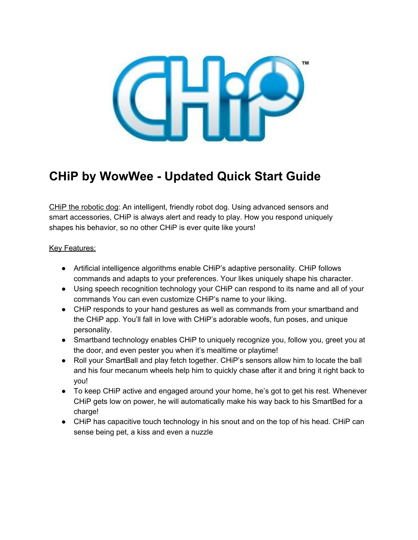

# **CHiP by WowWee Updated Quick Start Guide**

CHiP the robotic dog: An intelligent, friendly robot dog. Using advanced sensors and smart accessories, CHiP is always alert and ready to play. How you respond uniquely shapes his behavior, so no other CHiP is ever quite like yours!

#### Key Features:

- Artificial intelligence algorithms enable CHiP's adaptive personality. CHiP follows commands and adapts to your preferences. Your likes uniquely shape his character.
- Using speech recognition technology your CHiP can respond to its name and all of your commands You can even customize CHiP's name to your liking.
- CHiP responds to your hand gestures as well as commands from your smartband and the CHiP app. You'll fall in love with CHiP's adorable woofs, fun poses, and unique personality.
- Smartband technology enables CHiP to uniquely recognize you, follow you, greet you at the door, and even pester you when it's mealtime or playtime!
- Roll your SmartBall and play fetch together. CHiP's sensors allow him to locate the ball and his four mecanum wheels help him to quickly chase after it and bring it right back to you!
- To keep CHiP active and engaged around your home, he's got to get his rest. Whenever CHiP gets low on power, he will automatically make his way back to his SmartBed for a charge!
- CHiP has capacitive touch technology in his snout and on the top of his head. CHiP can sense being pet, a kiss and even a nuzzle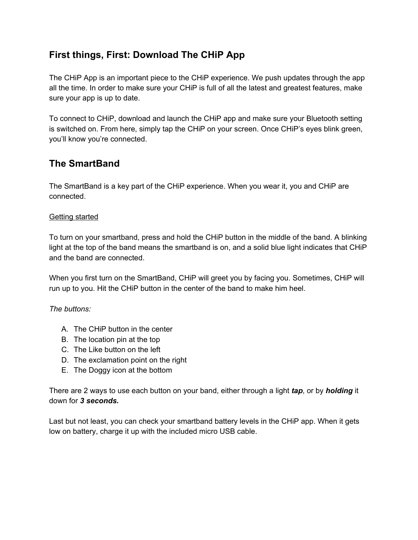### **First things, First: Download The CHiP App**

The CHiP App is an important piece to the CHiP experience. We push updates through the app all the time. In order to make sure your CHiP is full of all the latest and greatest features, make sure your app is up to date.

To connect to CHiP, download and launch the CHiP app and make sure your Bluetooth setting is switched on. From here, simply tap the CHiP on your screen. Once CHiP's eyes blink green, you'll know you're connected.

### **The SmartBand**

The SmartBand is a key part of the CHiP experience. When you wear it, you and CHiP are connected.

#### Getting started

To turn on your smartband, press and hold the CHiP button in the middle of the band. A blinking light at the top of the band means the smartband is on, and a solid blue light indicates that CHiP and the band are connected.

When you first turn on the SmartBand, CHiP will greet you by facing you. Sometimes, CHiP will run up to you. Hit the CHiP button in the center of the band to make him heel.

#### *The buttons:*

- A. The CHiP button in the center
- B. The location pin at the top
- C. The Like button on the left
- D. The exclamation point on the right
- E. The Doggy icon at the bottom

There are 2 ways to use each button on your band, either through a light *tap*, or by *holding* it down for *3 seconds.*

Last but not least, you can check your smartband battery levels in the CHiP app. When it gets low on battery, charge it up with the included micro USB cable.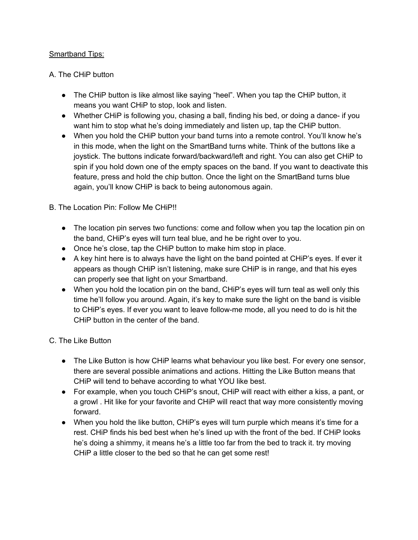#### Smartband Tips:

#### A. The CHiP button

- The CHiP button is like almost like saying "heel". When you tap the CHiP button, it means you want CHiP to stop, look and listen.
- Whether CHiP is following you, chasing a ball, finding his bed, or doing a dance- if you want him to stop what he's doing immediately and listen up, tap the CHiP button.
- When you hold the CHiP button your band turns into a remote control. You'll know he's in this mode, when the light on the SmartBand turns white. Think of the buttons like a joystick. The buttons indicate forward/backward/left and right. You can also get CHiP to spin if you hold down one of the empty spaces on the band. If you want to deactivate this feature, press and hold the chip button. Once the light on the SmartBand turns blue again, you'll know CHiP is back to being autonomous again.

#### B. The Location Pin: Follow Me CHiP!!

- The location pin serves two functions: come and follow when you tap the location pin on the band, CHiP's eyes will turn teal blue, and he be right over to you.
- Once he's close, tap the CHiP button to make him stop in place.
- A key hint here is to always have the light on the band pointed at CHiP's eyes. If ever it appears as though CHiP isn't listening, make sure CHiP is in range, and that his eyes can properly see that light on your Smartband.
- When you hold the location pin on the band, CHiP's eyes will turn teal as well only this time he'll follow you around. Again, it's key to make sure the light on the band is visible to CHiP's eyes. If ever you want to leave follow-me mode, all you need to do is hit the CHiP button in the center of the band.

#### C. The Like Button

- The Like Button is how CHIP learns what behaviour you like best. For every one sensor, there are several possible animations and actions. Hitting the Like Button means that CHiP will tend to behave according to what YOU like best.
- For example, when you touch CHiP's snout, CHiP will react with either a kiss, a pant, or a growl . Hit like for your favorite and CHiP will react that way more consistently moving forward.
- When you hold the like button, CHiP's eyes will turn purple which means it's time for a rest. CHiP finds his bed best when he's lined up with the front of the bed. If CHiP looks he's doing a shimmy, it means he's a little too far from the bed to track it. try moving CHiP a little closer to the bed so that he can get some rest!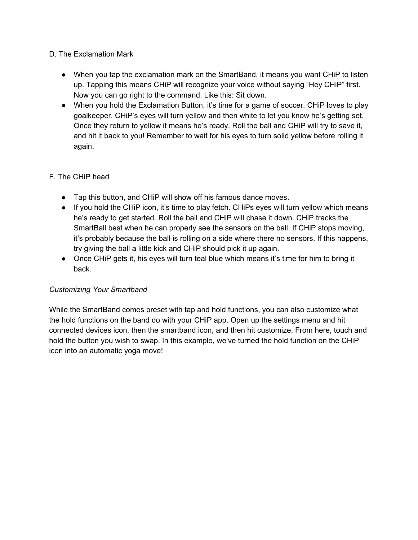#### D. The Exclamation Mark

- When you tap the exclamation mark on the SmartBand, it means you want CHiP to listen up. Tapping this means CHiP will recognize your voice without saying "Hey CHiP" first. Now you can go right to the command. Like this: Sit down.
- When you hold the Exclamation Button, it's time for a game of soccer. CHiP loves to play goalkeeper. CHiP's eyes will turn yellow and then white to let you know he's getting set. Once they return to yellow it means he's ready. Roll the ball and CHiP will try to save it, and hit it back to you! Remember to wait for his eyes to turn solid yellow before rolling it again.

#### F. The CHiP head

- Tap this button, and CHiP will show off his famous dance moves.
- If you hold the CHiP icon, it's time to play fetch. CHiPs eyes will turn yellow which means he's ready to get started. Roll the ball and CHiP will chase it down. CHiP tracks the SmartBall best when he can properly see the sensors on the ball. If CHiP stops moving, it's probably because the ball is rolling on a side where there no sensors. If this happens, try giving the ball a little kick and CHiP should pick it up again.
- Once CHiP gets it, his eyes will turn teal blue which means it's time for him to bring it back.

#### *Customizing Your Smartband*

While the SmartBand comes preset with tap and hold functions, you can also customize what the hold functions on the band do with your CHiP app. Open up the settings menu and hit connected devices icon, then the smartband icon, and then hit customize. From here, touch and hold the button you wish to swap. In this example, we've turned the hold function on the CHiP icon into an automatic yoga move!